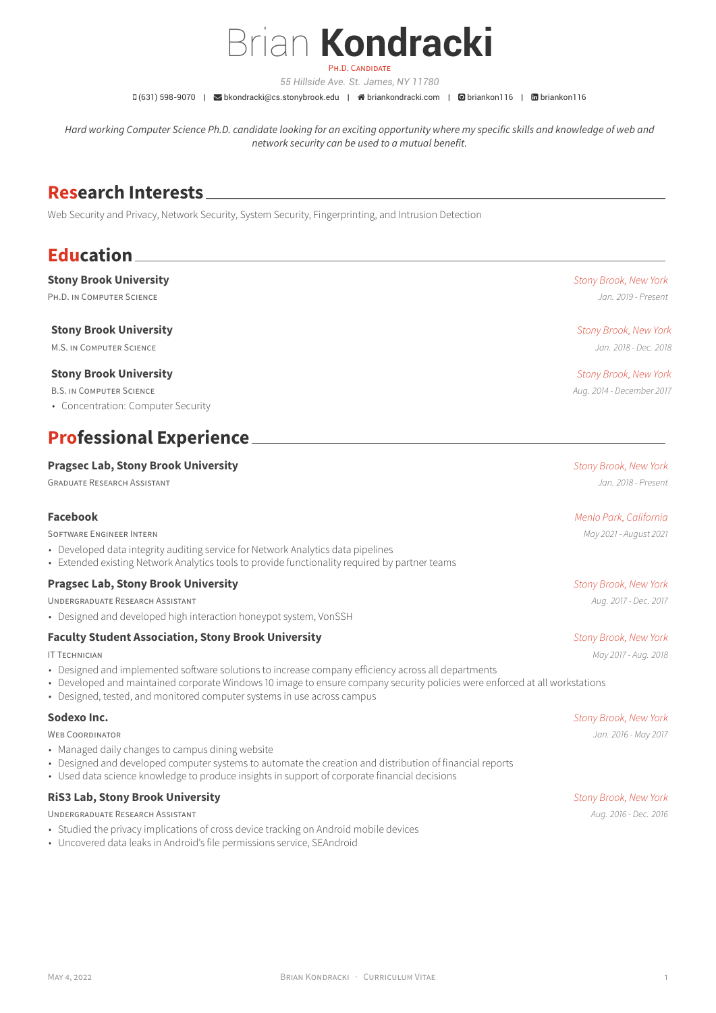# Brian **Kondracki** PH.D. CANDIDATE

*55 Hillside Ave. St. James, NY 11780*

□ (631) 598-9070 | Sbkondracki@cs.stonybrook.edu | 眷 briankondracki.com | @ briankon116 | 面 briankon116

*Hard working Computer Science Ph.D. candidate looking for an exciting opportunity where my specific skills and knowledge of web and network security can be used to a mutual benefit.*

## **Research Interests**

Web Security and Privacy, Network Security, System Security, Fingerprinting, and Intrusion Detection

## **Education**

### **Stony Brook University** *Stony Brook, New York*

PH.D. IN COMPUTER SCIENCE *Jan. 2019 - Present*

#### **Stony Brook University** *Stony Brook, New York*

M.S. IN COMPUTER SCIENCE *Jan. 2018 - Dec. 2018*

#### **Stony Brook University** *Stony Brook, New York*

B.S. IN COMPUTER SCIENCE *Aug. 2014 - December 2017*

• Concentration: Computer Security

## **Professional Experience**

#### **Pragsec Lab, Stony Brook University** *Stony Brook, New York*

GRADUATE RESEARCH ASSISTANT *Jan. 2018 - Present*

SOFTWARE ENGINEER INTERN *May 2021 - August 2021*

- Developed data integrity auditing service for Network Analytics data pipelines
- Extended existing Network Analytics tools to provide functionality required by partner teams

### **Pragsec Lab, Stony Brook University** *Stony Brook, New York*

UNDERGRADUATE RESEARCH ASSISTANT *Aug. 2017 - Dec. 2017*

• Designed and developed high interaction honeypot system, VonSSH

#### **Faculty Student Association, Stony Brook University** *Stony Brook, New York*

- Designed and implemented software solutions to increase company efficiency across all departments
- Developed and maintained corporate Windows 10 image to ensure company security policies were enforced at all workstations
- Designed, tested, and monitored computer systems in use across campus

- Managed daily changes to campus dining website
- Designed and developed computer systems to automate the creation and distribution of financial reports
- Used data science knowledge to produce insights in support of corporate financial decisions

### **RiS3 Lab, Stony Brook University** *Stony Brook, New York*

UNDERGRADUATE RESEARCH ASSISTANT *Aug. 2016 - Dec. 2016*

- Studied the privacy implications of cross device tracking on Android mobile devices
- Uncovered data leaks in Android's file permissions service, SEAndroid

### **Facebook** *Menlo Park, California*

IT TECHNICIAN *May 2017 - Aug. 2018*

**Sodexo Inc.** *Stony Brook, New York* WEB COORDINATOR *Jan. 2016 - May 2017*